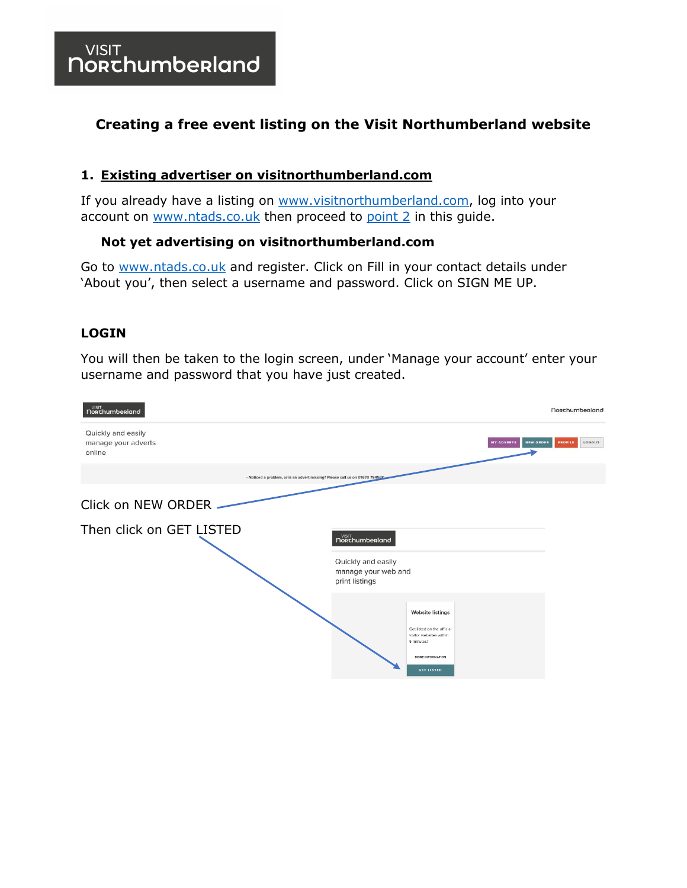#### **Creating a free event listing on the Visit Northumberland website**

#### **1. Existing advertiser on visitnorthumberland.com**

If you already have a listing on [www.visitnorthumberland.com,](http://www.visitnorthumberland.com/) log into your account on [www.ntads.co.uk](http://www.ntads.co.uk/) then proceed to [point](#page-4-0) 2 in this guide.

#### **Not yet advertising on visitnorthumberland.com**

Go to [www.ntads.co.uk](http://www.ntads.co.uk/) and register. Click on Fill in your contact details under 'About you', then select a username and password. Click on SIGN ME UP.

#### **LOGIN**

You will then be taken to the login screen, under 'Manage your account' enter your username and password that you have just created.

| VISIT<br><b>NORChumberland</b>                                               | <b>Norchumberland</b>                                                                          |
|------------------------------------------------------------------------------|------------------------------------------------------------------------------------------------|
| Quickly and easily<br>manage your adverts<br>online                          | <b>NEW ORDER</b><br>LOGOUT<br><b>PROFILE</b><br><b>MY ADVERTS</b>                              |
| - Noticed a problem, or is an advert missing? Please call us on 01670 794520 |                                                                                                |
| Click on NEW ORDER -                                                         |                                                                                                |
| Then click on GET LISTED                                                     | $N_{\footnotesize\rm{ORT}}^{\footnotesize\rm{VISIT}}$ norchumberland                           |
|                                                                              | Quickly and easily<br>manage your web and<br>print listings                                    |
|                                                                              | <b>Website listings</b><br>Get listed on the official<br>visitor websites within<br>5 minutes! |
|                                                                              | MORE INFORMATION<br><b>GET LISTED</b>                                                          |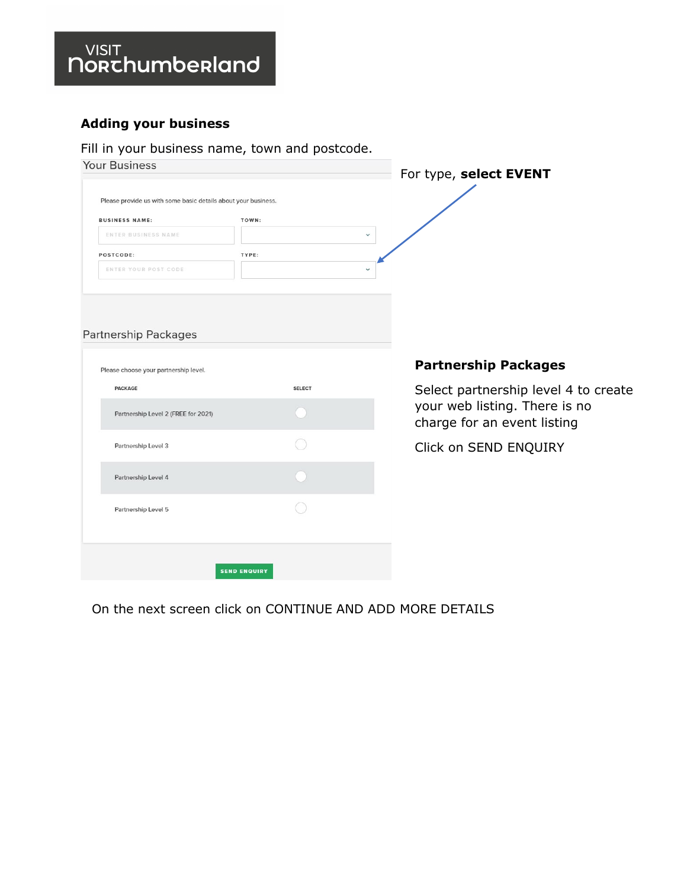## VISIT<br>**NORChumberland**

#### **Adding your business**

#### Fill in your business name, town and postcode.

| <b>Your Business</b>                                           |       | For type, select EVENT |
|----------------------------------------------------------------|-------|------------------------|
| Please provide us with some basic details about your business. |       |                        |
| <b>BUSINESS NAME:</b>                                          | TOWN: |                        |
| ENTER BUSINESS NAME                                            |       | $\checkmark$           |
| POSTCODE:                                                      | TYPE: |                        |
| ENTER YOUR POST CODE                                           |       | $\checkmark$           |
|                                                                |       |                        |
|                                                                |       |                        |

#### Partnership Packages

| <b>PACKAGE</b>                      | <b>SELECT</b> |
|-------------------------------------|---------------|
| Partnership Level 2 (FREE for 2021) |               |
| Partnership Level 3                 |               |
| Partnership Level 4                 |               |
| Partnership Level 5                 |               |
|                                     |               |

#### **Partnership Packages**

Select partnership level 4 to create your web listing. There is no charge for an event listing

Click on SEND ENQUIRY

On the next screen click on CONTINUE AND ADD MORE DETAILS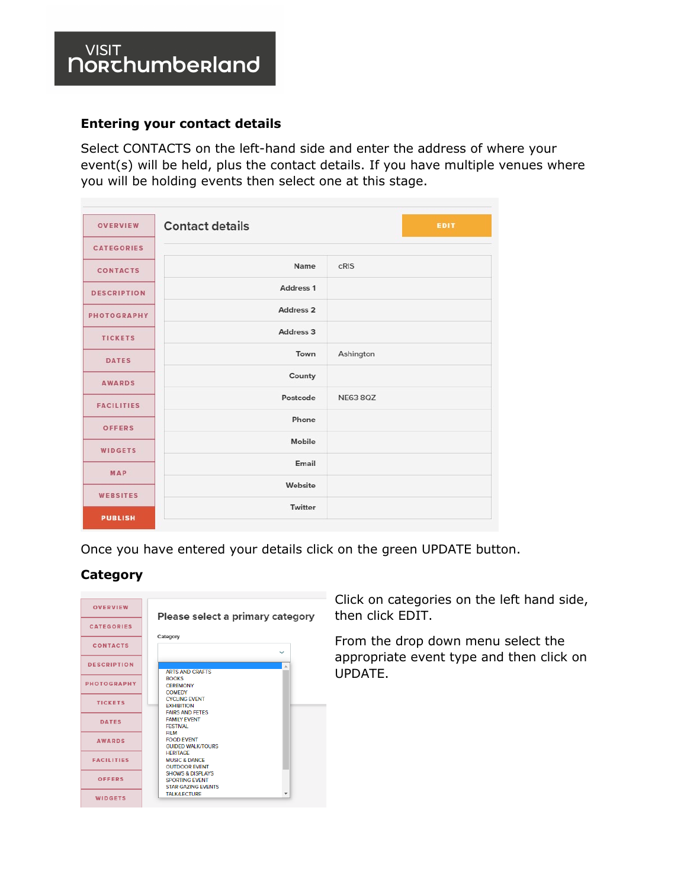#### **Entering your contact details**

Select CONTACTS on the left-hand side and enter the address of where your event(s) will be held, plus the contact details. If you have multiple venues where you will be holding events then select one at this stage.

| <b>OVERVIEW</b>    | <b>Contact details</b> | EDIT            |
|--------------------|------------------------|-----------------|
| <b>CATEGORIES</b>  |                        |                 |
| <b>CONTACTS</b>    | Name                   | cRIS            |
| <b>DESCRIPTION</b> | Address 1              |                 |
| <b>PHOTOGRAPHY</b> | Address <sub>2</sub>   |                 |
| <b>TICKETS</b>     | Address 3              |                 |
| <b>DATES</b>       | Town                   | Ashington       |
| <b>AWARDS</b>      | County                 |                 |
| <b>FACILITIES</b>  | Postcode               | <b>NE63 8QZ</b> |
| <b>OFFERS</b>      | Phone                  |                 |
| <b>WIDGETS</b>     | Mobile                 |                 |
|                    | Email                  |                 |
| <b>MAP</b>         | Website                |                 |
| <b>WEBSITES</b>    | Twitter                |                 |
| <b>PUBLISH</b>     |                        |                 |

Once you have entered your details click on the green UPDATE button.

#### **Category**

| <b>OVERVIEW</b>    | Please select a primary category                                                  |
|--------------------|-----------------------------------------------------------------------------------|
| <b>CATEGORIES</b>  | Category                                                                          |
| <b>CONTACTS</b>    |                                                                                   |
| <b>DESCRIPTION</b> | <b>ARTS AND CRAFTS</b>                                                            |
| <b>PHOTOGRAPHY</b> | <b>ROOKS</b><br><b>CEREMONY</b><br><b>COMEDY</b>                                  |
| <b>TICKETS</b>     | <b>CYCLING EVENT</b><br><b>EXHIBITION</b><br><b>FAIRS AND FETES</b>               |
| <b>DATES</b>       | <b>FAMILY EVENT</b><br><b>FESTIVAL</b><br>FII M                                   |
| <b>AWARDS</b>      | <b>FOOD EVENT</b><br><b>GUIDED WALK/TOURS</b>                                     |
| <b>FACILITIES</b>  | <b>HERITAGE</b><br><b>MUSIC &amp; DANCE</b><br><b>OUTDOOR EVENT</b>               |
| <b>OFFERS</b>      | <b>SHOWS &amp; DISPLAYS</b><br><b>SPORTING EVENT</b><br><b>STAR GAZING EVENTS</b> |
| <b>WIDGETS</b>     | <b>TALK/LECTURE</b>                                                               |

Click on categories on the left hand side, then click EDIT.

From the drop down menu select the appropriate event type and then click on UPDATE.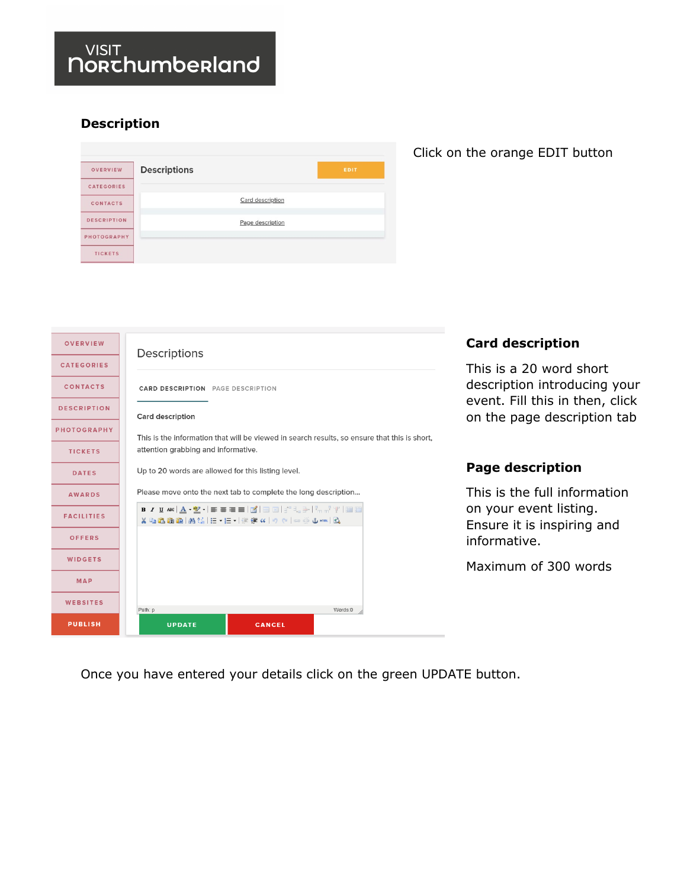### $\frac{VIS|T}{N}$ norchumberland

#### **Description**

| <b>OVERVIEW</b>    | <b>Descriptions</b> | <b>EDIT</b> |
|--------------------|---------------------|-------------|
| <b>CATEGORIES</b>  |                     |             |
| <b>CONTACTS</b>    | Card description    |             |
| <b>DESCRIPTION</b> | Page description    |             |
| PHOTOGRAPHY        |                     |             |
| <b>TICKETS</b>     |                     |             |

#### Click on the orange EDIT button

| <b>OVERVIEW</b>    | Descriptions                                                                                 | <b>Card description</b>                                        |
|--------------------|----------------------------------------------------------------------------------------------|----------------------------------------------------------------|
| <b>CATEGORIES</b>  |                                                                                              | This is a 20 word short                                        |
| <b>CONTACTS</b>    | <b>CARD DESCRIPTION</b> PAGE DESCRIPTION                                                     | description introducing your                                   |
| <b>DESCRIPTION</b> | <b>Card description</b>                                                                      | event. Fill this in then, click<br>on the page description tab |
| <b>PHOTOGRAPHY</b> | This is the information that will be viewed in search results, so ensure that this is short, |                                                                |
| <b>TICKETS</b>     | attention grabbing and informative.                                                          |                                                                |
| <b>DATES</b>       | Up to 20 words are allowed for this listing level.                                           | <b>Page description</b>                                        |
| <b>AWARDS</b>      | Please move onto the next tab to complete the long description                               | This is the full information                                   |
| <b>FACILITIES</b>  | B/UAR A. THE EEE BO BO BO BO AND BOT<br>※『『『『『『『『『『『『『『『『『『『『『『『『『『『『『『『』』』 》 》 A mm   △     | on your event listing.<br>Ensure it is inspiring and           |
| <b>OFFERS</b>      |                                                                                              | informative.                                                   |
| <b>WIDGETS</b>     |                                                                                              | Maximum of 300 words                                           |
| MAP                |                                                                                              |                                                                |
| <b>WEBSITES</b>    | Words:0<br>Path: p                                                                           |                                                                |
| <b>PUBLISH</b>     | <b>UPDATE</b><br><b>CANCEL</b>                                                               |                                                                |

Once you have entered your details click on the green UPDATE button.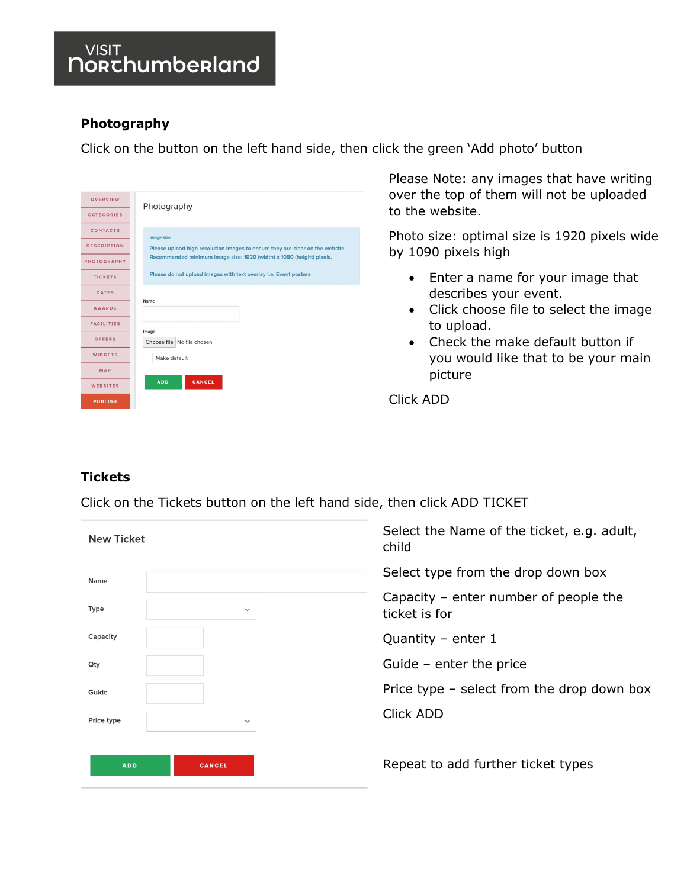#### **Photography**

Click on the button on the left hand side, then click the green 'Add photo' button

| <b>OVERVIEW</b>    | Photography                                                                   |
|--------------------|-------------------------------------------------------------------------------|
| <b>CATEGORIES</b>  |                                                                               |
| <b>CONTACTS</b>    | Image size                                                                    |
| <b>DESCRIPTION</b> | Please upload high resolution images to ensure they are clear on the website. |
| PHOTOGRAPHY        | Recommended minimum image size: 1920 (width) x 1080 (height) pixels.          |
| <b>TICKETS</b>     | Please do not upload images with text overlay i.e. Event posters              |
| <b>DATES</b>       |                                                                               |
| <b>AWARDS</b>      | Name                                                                          |
| <b>FACILITIES</b>  | Image                                                                         |
| OFFERS             | Choose file No file chosen                                                    |
| <b>WIDGETS</b>     | Make default                                                                  |
| <b>MAP</b>         |                                                                               |
| <b>WEBSITES</b>    | <b>ADD</b><br>CANCEL                                                          |
| <b>PUBLISH</b>     |                                                                               |

Please Note: any images that have writing over the top of them will not be uploaded to the website.

Photo size: optimal size is 1920 pixels wide by 1090 pixels high

- Enter a name for your image that describes your event.
- Click choose file to select the image to upload.
- Check the make default button if you would like that to be your main picture

Click ADD

#### <span id="page-4-0"></span>**Tickets**

Click on the Tickets button on the left hand side, then click ADD TICKET

| <b>New Ticket</b>           | Select the Name of the ticket, e.g. adult,<br>child    |
|-----------------------------|--------------------------------------------------------|
| Name                        | Select type from the drop down box                     |
| Type<br>$\checkmark$        | Capacity – enter number of people the<br>ticket is for |
| Capacity                    | Quantity – enter $1$                                   |
| Qty                         | Guide – enter the price                                |
| Guide                       | Price type $-$ select from the drop down box           |
| Price type<br>$\checkmark$  | <b>Click ADD</b>                                       |
| <b>ADD</b><br><b>CANCEL</b> | Repeat to add further ticket types                     |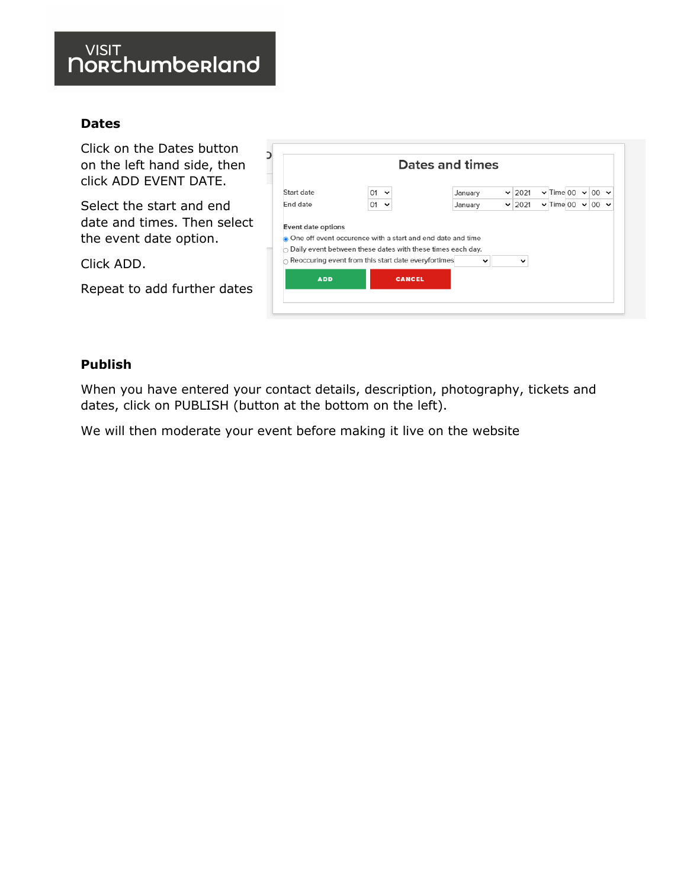### $\frac{VIS|T}{\text{Norkchumbenland}}$

#### **Dates**

Click on the Dates button on the left hand side, then click ADD EVENT DATE.

Select the start and end date and times. Then select the event date option.

Click ADD.

Repeat to add further dates

|            |                                                                                                                   | Dates and times |              |                                 |  |  |
|------------|-------------------------------------------------------------------------------------------------------------------|-----------------|--------------|---------------------------------|--|--|
| Start date | 01                                                                                                                | January         | $\vee$ 2021  | $\vee$ Time 00 $\vee$ 00 $\vee$ |  |  |
| End date   | 01<br>$\checkmark$                                                                                                | January         | $\vee$ 2021  | $\vee$ Time 00 $\vee$ 00 $\vee$ |  |  |
|            | One off event occurence with a start and end date and time                                                        |                 |              |                                 |  |  |
|            | Daily event between these dates with these times each day.<br>Reoccuring event from this start date everyfortimes | $\checkmark$    | $\checkmark$ |                                 |  |  |

#### **Publish**

When you have entered your contact details, description, photography, tickets and dates, click on PUBLISH (button at the bottom on the left).

We will then moderate your event before making it live on the website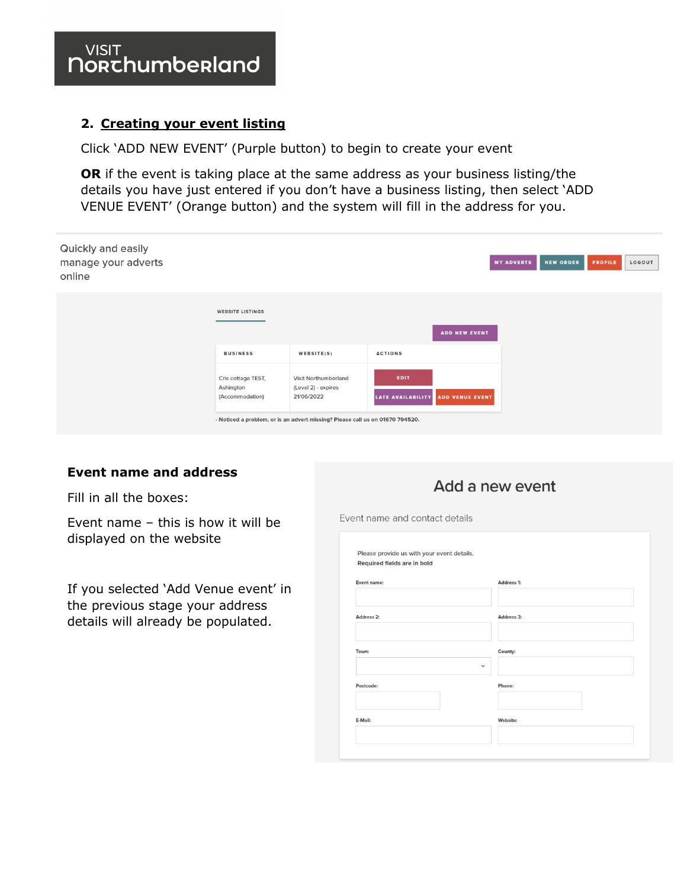#### **2. Creating your event listing**

Click 'ADD NEW EVENT' (Purple button) to begin to create your event

**OR** if the event is taking place at the same address as your business listing/the details you have just entered if you don't have a business listing, then select 'ADD VENUE EVENT' (Orange button) and the system will fill in the address for you.

| Quickly and easily<br>manage your adverts<br>online |                                                    |                                                                                                                                            |                                           | <b>MY ADVERTS</b> | <b>NEW ORDER</b> | <b>PROFILE</b> | LOGOUT |
|-----------------------------------------------------|----------------------------------------------------|--------------------------------------------------------------------------------------------------------------------------------------------|-------------------------------------------|-------------------|------------------|----------------|--------|
|                                                     | <b>WEBSITE LISTINGS</b>                            |                                                                                                                                            | <b>ADD NEW EVENT</b>                      |                   |                  |                |        |
|                                                     | <b>BUSINESS</b>                                    | WEBSITE(S)                                                                                                                                 | <b>ACTIONS</b>                            |                   |                  |                |        |
|                                                     | Cris cottage TEST,<br>Ashington<br>(Accommodation) | Visit Northumberland<br>(Level 2) - expires<br>21/06/2022<br>- Noticed a problem, or is an advert missing? Please call us on 01670 794520. | EDIT<br>LATE AVAILABILITY ADD VENUE EVENT |                   |                  |                |        |

#### **Event name and address**

Fill in all the boxes:

Event name – this is how it will be displayed on the website

If you selected 'Add Venue event' in the previous stage your address details will already be populated.

#### Add a new event

Event name and contact details

| Required fields are in bold |                        |  |
|-----------------------------|------------------------|--|
|                             |                        |  |
| Event name:                 | Address 1:             |  |
|                             |                        |  |
| Address <sub>2</sub> :      | Address 3:             |  |
| Town:                       | County:                |  |
| Postcode:                   | $\checkmark$<br>Phone: |  |
| E-Mail:                     | Website:               |  |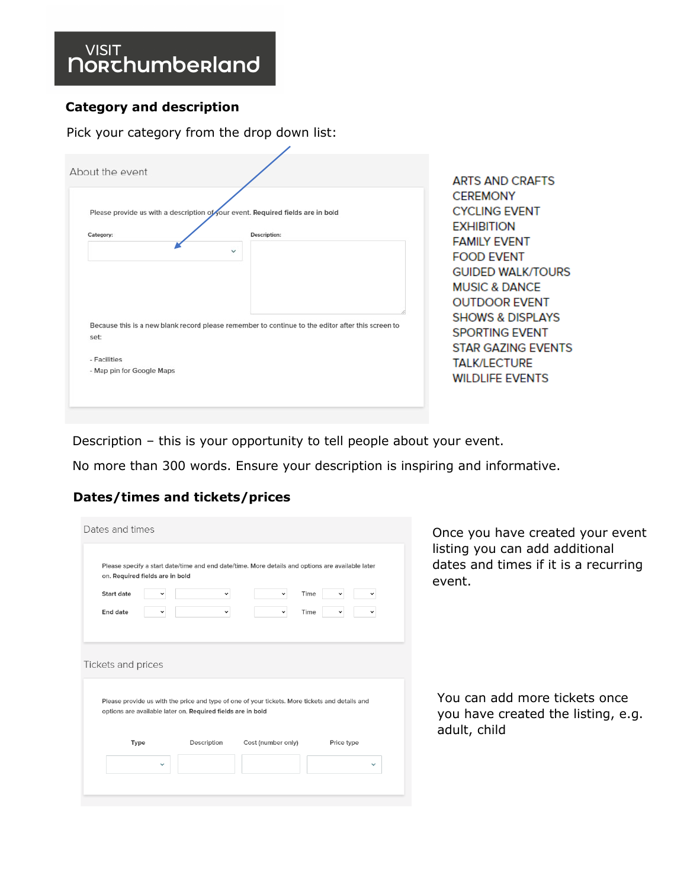#### **Category and description**

Pick your category from the drop down list:

|                                                                                                   |                             | <b>ARTS AND CRAFTS</b><br><b>CEREMONY</b> |
|---------------------------------------------------------------------------------------------------|-----------------------------|-------------------------------------------|
| Please provide us with a description of your event. Required fields are in bold                   | <b>CYCLING EVENT</b>        |                                           |
| Category:                                                                                         | Description:                | <b>EXHIBITION</b>                         |
|                                                                                                   |                             | <b>FAMILY EVENT</b>                       |
|                                                                                                   | $\checkmark$                | <b>FOOD EVENT</b>                         |
|                                                                                                   |                             | <b>GUIDED WALK/TOURS</b>                  |
|                                                                                                   |                             | <b>MUSIC &amp; DANCE</b>                  |
|                                                                                                   |                             | <b>OUTDOOR EVENT</b>                      |
|                                                                                                   |                             |                                           |
| Because this is a new blank record please remember to continue to the editor after this screen to | <b>SHOWS &amp; DISPLAYS</b> |                                           |
| set:                                                                                              |                             | <b>SPORTING EVENT</b>                     |
|                                                                                                   |                             | STAR GAZING EVENTS                        |
| - Facilities                                                                                      |                             | <b>TALK/LECTURE</b>                       |
| - Map pin for Google Maps                                                                         |                             | <b>WILDLIFE EVENTS</b>                    |

Description – this is your opportunity to tell people about your event.

No more than 300 words. Ensure your description is inspiring and informative.

#### **Dates/times and tickets/prices**

| Dates and times<br>Please specify a start date/time and end date/time. More details and options are available later<br>on. Required fields are in bold                              | Once you have created your event<br>listing you can add additional<br>dates and times if it is a recurring |
|-------------------------------------------------------------------------------------------------------------------------------------------------------------------------------------|------------------------------------------------------------------------------------------------------------|
|                                                                                                                                                                                     | event.                                                                                                     |
| <b>Start date</b><br>Time<br>$\check{ }$<br>$\checkmark$                                                                                                                            |                                                                                                            |
| End date<br>Time<br>$\checkmark$<br>$\check{~}$                                                                                                                                     |                                                                                                            |
|                                                                                                                                                                                     |                                                                                                            |
| Tickets and prices<br>Please provide us with the price and type of one of your tickets. More tickets and details and<br>options are available later on. Required fields are in bold | You can add more tickets once<br>adult, child                                                              |
| Cost (number only)<br>Type<br>Description<br>Price type                                                                                                                             | you have created the listing, e.g.                                                                         |
| $\checkmark$<br>$\checkmark$                                                                                                                                                        |                                                                                                            |